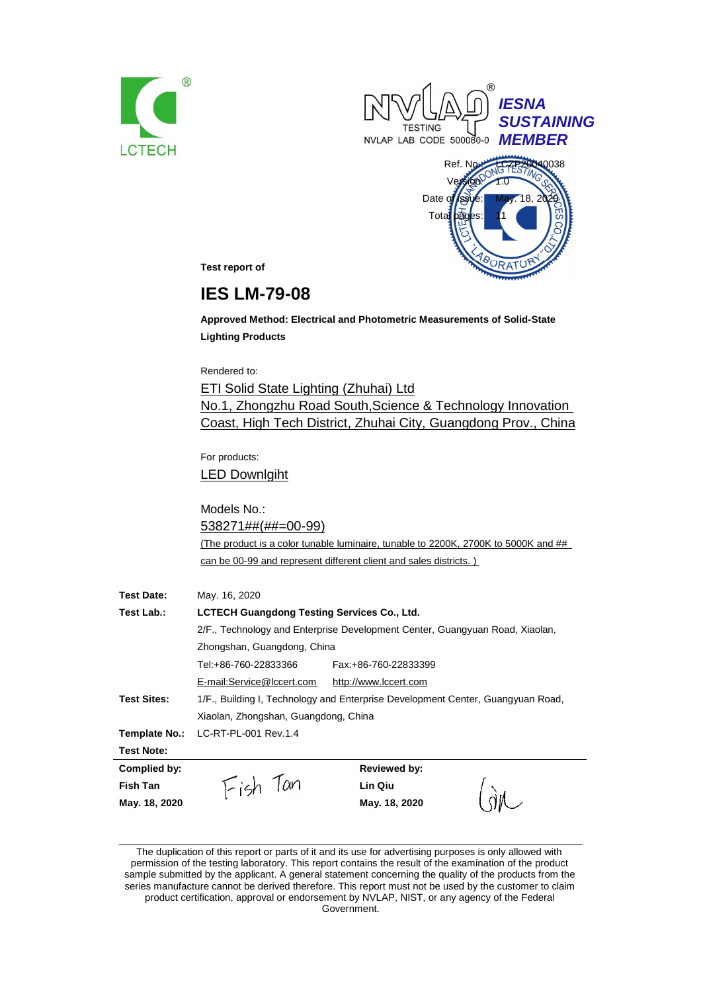





**Test report of**

# **IES LM-79-08**

**Approved Method: Electrical and Photometric Measurements of Solid-State Lighting Products**

Rendered to:

ETI Solid State Lighting (Zhuhai) Ltd No.1, Zhongzhu Road South,Science & Technology Innovation Coast, High Tech District, Zhuhai City, Guangdong Prov., China

For products: LED Downlgiht

Models No.: 538271##(##=00-99) (The product is a color tunable luminaire, tunable to 2200K, 2700K to 5000K and ## can be 00-99 and represent different client and sales districts. )

| <b>Test Date:</b>  | May. 16, 2020                                                                |                                                                                 |  |
|--------------------|------------------------------------------------------------------------------|---------------------------------------------------------------------------------|--|
| Test Lab.:         | <b>LCTECH Guangdong Testing Services Co., Ltd.</b>                           |                                                                                 |  |
|                    | 2/F., Technology and Enterprise Development Center, Guangyuan Road, Xiaolan, |                                                                                 |  |
|                    | Zhongshan, Guangdong, China                                                  |                                                                                 |  |
|                    | Tel:+86-760-22833366                                                         | Fax: +86-760-22833399                                                           |  |
|                    | E-mail:Service@lccert.com                                                    | http://www.lccert.com                                                           |  |
| <b>Test Sites:</b> |                                                                              | 1/F., Building I, Technology and Enterprise Development Center, Guangyuan Road, |  |
|                    | Xiaolan, Zhongshan, Guangdong, China                                         |                                                                                 |  |
| Template No.:      | LC-RT-PL-001 Rev.1.4                                                         |                                                                                 |  |
| <b>Test Note:</b>  |                                                                              |                                                                                 |  |
| Complied by:       |                                                                              | <b>Reviewed by:</b>                                                             |  |
| Fish Tan           | Fish Tan                                                                     | Lin Qiu                                                                         |  |
| May. 18, 2020      |                                                                              | May. 18, 2020                                                                   |  |

The duplication of this report or parts of it and its use for advertising purposes is only allowed with permission of the testing laboratory. This report contains the result of the examination of the product sample submitted by the applicant. A general statement concerning the quality of the products from the series manufacture cannot be derived therefore. This report must not be used by the customer to claim product certification, approval or endorsement by NVLAP, NIST, or any agency of the Federal

Government.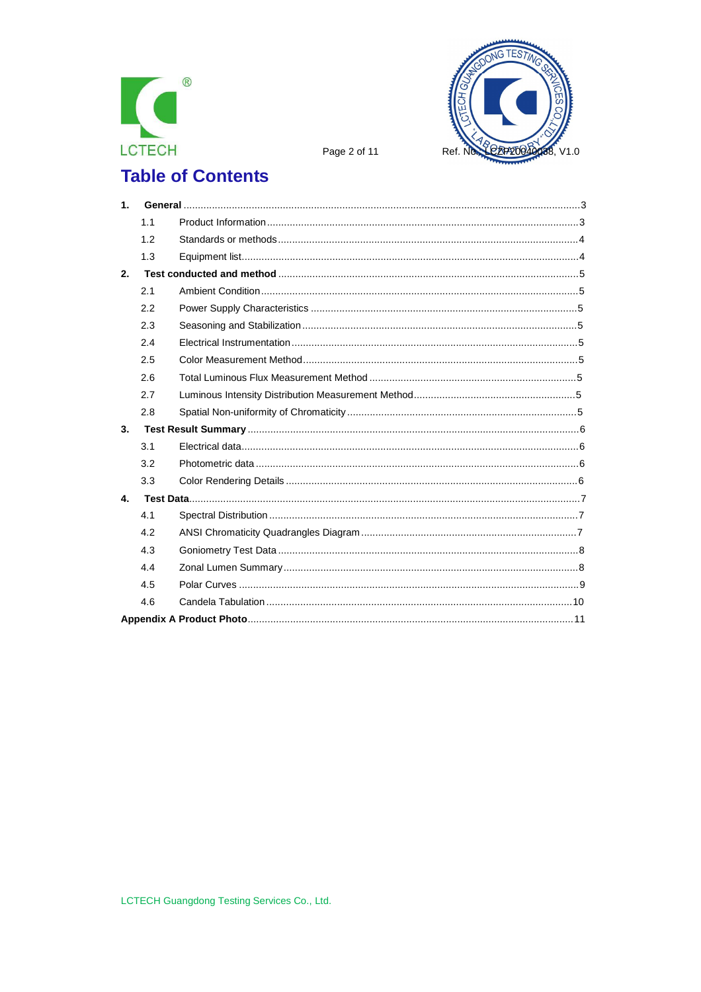



Page 2 of 11

# **Table of Contents**

| 1 <sub>1</sub> |     |  |
|----------------|-----|--|
|                | 1.1 |  |
|                | 1.2 |  |
|                | 1.3 |  |
| 2.             |     |  |
|                | 2.1 |  |
|                | 2.2 |  |
|                | 2.3 |  |
|                | 2.4 |  |
|                | 2.5 |  |
|                | 2.6 |  |
|                | 2.7 |  |
|                | 2.8 |  |
| 3.             |     |  |
|                | 3.1 |  |
|                | 3.2 |  |
|                | 3.3 |  |
| 4.             |     |  |
|                | 4.1 |  |
|                | 4.2 |  |
|                | 4.3 |  |
|                | 4.4 |  |
|                | 4.5 |  |
|                | 4.6 |  |
|                |     |  |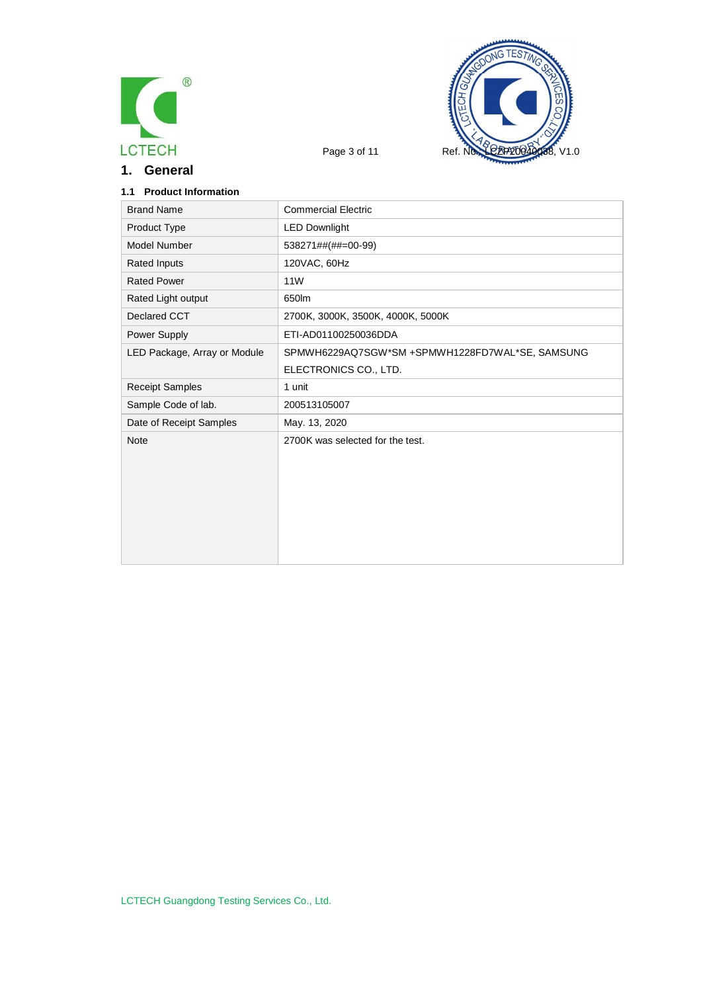

**1. General**



## **1.1 Product Information**

| <b>Brand Name</b>            | <b>Commercial Electric</b>                      |
|------------------------------|-------------------------------------------------|
| Product Type                 | <b>LED Downlight</b>                            |
| Model Number                 | 538271##(##=00-99)                              |
| <b>Rated Inputs</b>          | 120VAC, 60Hz                                    |
| <b>Rated Power</b>           | 11 <sub>W</sub>                                 |
| Rated Light output           | 650lm                                           |
| Declared CCT                 | 2700K, 3000K, 3500K, 4000K, 5000K               |
| Power Supply                 | ETI-AD01100250036DDA                            |
| LED Package, Array or Module | SPMWH6229AQ7SGW*SM +SPMWH1228FD7WAL*SE, SAMSUNG |
|                              | ELECTRONICS CO., LTD.                           |
| <b>Receipt Samples</b>       | 1 unit                                          |
| Sample Code of lab.          | 200513105007                                    |
| Date of Receipt Samples      | May. 13, 2020                                   |
| <b>Note</b>                  | 2700K was selected for the test.                |
|                              |                                                 |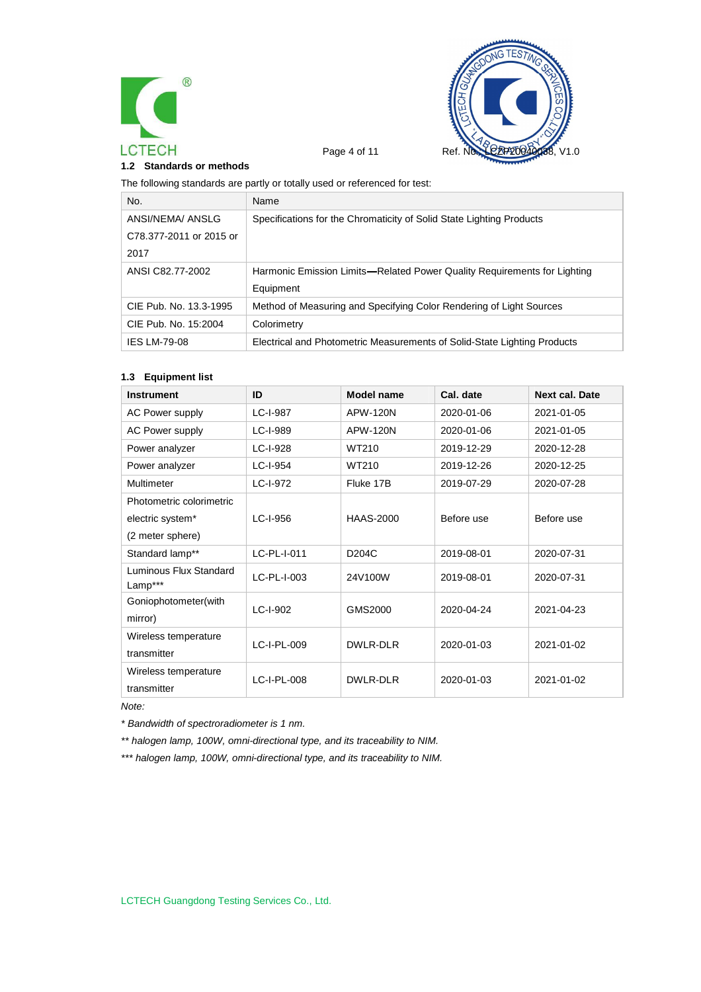



#### **1.2 Standards or methods**

The following standards are partly or totally used or referenced for test:

| No.                     | Name                                                                     |
|-------------------------|--------------------------------------------------------------------------|
| ANSI/NEMA/ ANSLG        | Specifications for the Chromaticity of Solid State Lighting Products     |
| C78.377-2011 or 2015 or |                                                                          |
| 2017                    |                                                                          |
| ANSI C82.77-2002        | Harmonic Emission Limits—Related Power Quality Requirements for Lighting |
|                         | Equipment                                                                |
| CIE Pub. No. 13.3-1995  | Method of Measuring and Specifying Color Rendering of Light Sources      |
| CIE Pub. No. 15:2004    | Colorimetry                                                              |
| <b>IES LM-79-08</b>     | Electrical and Photometric Measurements of Solid-State Lighting Products |

#### **1.3 Equipment list**

| <b>Instrument</b>                 | ID          | Model name         | Cal. date  | <b>Next cal. Date</b> |
|-----------------------------------|-------------|--------------------|------------|-----------------------|
| <b>AC Power supply</b>            | LC-I-987    | APW-120N           | 2020-01-06 | 2021-01-05            |
| <b>AC Power supply</b>            | LC-I-989    | APW-120N           | 2020-01-06 | 2021-01-05            |
| Power analyzer                    | LC-I-928    | WT210              | 2019-12-29 | 2020-12-28            |
| Power analyzer                    | LC-I-954    | WT210              | 2019-12-26 | 2020-12-25            |
| Multimeter                        | LC-I-972    | Fluke 17B          | 2019-07-29 | 2020-07-28            |
| Photometric colorimetric          |             |                    |            |                       |
| electric system*                  | LC-I-956    | <b>HAAS-2000</b>   | Before use | Before use            |
| (2 meter sphere)                  |             |                    |            |                       |
| Standard lamp**                   | LC-PL-I-011 | D <sub>204</sub> C | 2019-08-01 | 2020-07-31            |
| Luminous Flux Standard<br>Lamp*** | LC-PL-I-003 | 24V100W            | 2019-08-01 | 2020-07-31            |
| Goniophotometer(with              | LC-I-902    | GMS2000            | 2020-04-24 | 2021-04-23            |
| mirror)                           |             |                    |            |                       |
| Wireless temperature              | LC-I-PL-009 | DWLR-DLR           | 2020-01-03 | 2021-01-02            |
| transmitter                       |             |                    |            |                       |
| Wireless temperature              | LC-I-PL-008 | DWLR-DLR           | 2020-01-03 | 2021-01-02            |
| transmitter                       |             |                    |            |                       |

*Note:*

*\* Bandwidth of spectroradiometer is 1 nm.*

*\*\* halogen lamp, 100W, omni-directional type, and its traceability to NIM.*

*\*\*\* halogen lamp, 100W, omni-directional type, and its traceability to NIM.*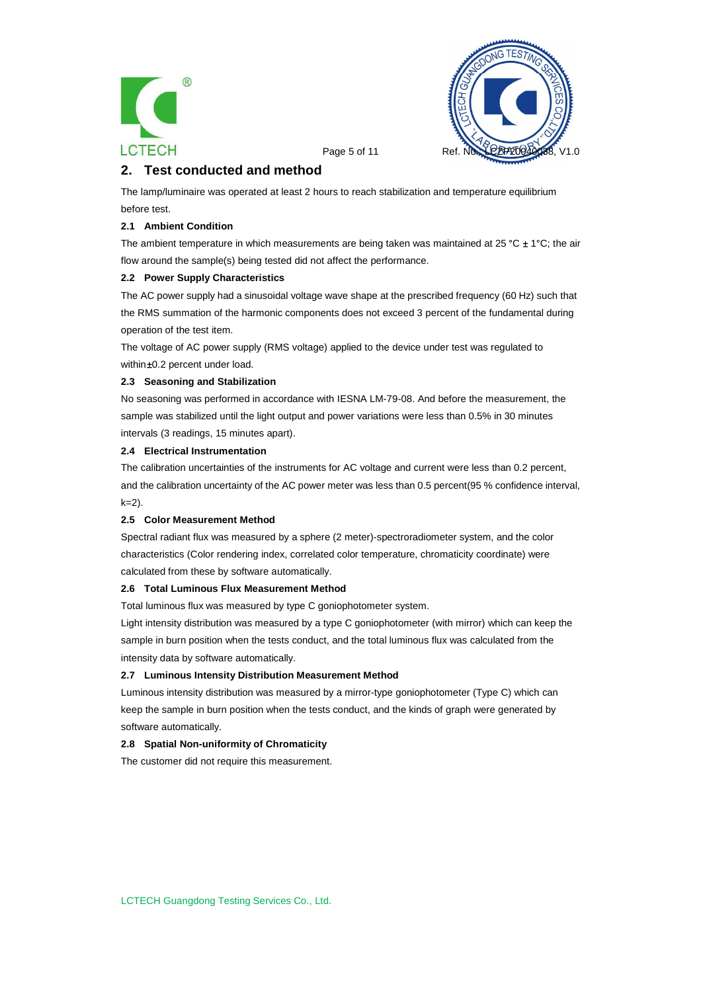



Page 5 of 11 Ref.

# **2. Test conducted and method**

The lamp/luminaire was operated at least 2 hours to reach stabilization and temperature equilibrium before test.

#### **2.1 Ambient Condition**

The ambient temperature in which measurements are being taken was maintained at 25 °C  $\pm$  1°C; the air flow around the sample(s) being tested did not affect the performance.

#### **2.2 Power Supply Characteristics**

The AC power supply had a sinusoidal voltage wave shape at the prescribed frequency (60 Hz) such that the RMS summation of the harmonic components does not exceed 3 percent of the fundamental during operation of the test item.

The voltage of AC power supply (RMS voltage) applied to the device under test was regulated to within ±0.2 percent under load.

#### **2.3 Seasoning and Stabilization**

No seasoning was performed in accordance with IESNA LM-79-08. And before the measurement, the sample was stabilized until the light output and power variations were less than 0.5% in 30 minutes intervals (3 readings, 15 minutes apart).

#### **2.4 Electrical Instrumentation**

The calibration uncertainties of the instruments for AC voltage and current were less than 0.2 percent, and the calibration uncertainty of the AC power meter was less than 0.5 percent(95 % confidence interval,  $k=2$ ).

#### **2.5 Color Measurement Method**

Spectral radiant flux was measured by a sphere (2 meter)-spectroradiometer system, and the color characteristics (Color rendering index, correlated color temperature, chromaticity coordinate) were calculated from these by software automatically.

#### **2.6 Total Luminous Flux Measurement Method**

Total luminous flux was measured by type C goniophotometer system.

Light intensity distribution was measured by a type C goniophotometer (with mirror) which can keep the sample in burn position when the tests conduct, and the total luminous flux was calculated from the intensity data by software automatically.

#### **2.7 Luminous Intensity Distribution Measurement Method**

Luminous intensity distribution was measured by a mirror-type goniophotometer (Type C) which can keep the sample in burn position when the tests conduct, and the kinds of graph were generated by software automatically.

#### **2.8 Spatial Non-uniformity of Chromaticity**

The customer did not require this measurement.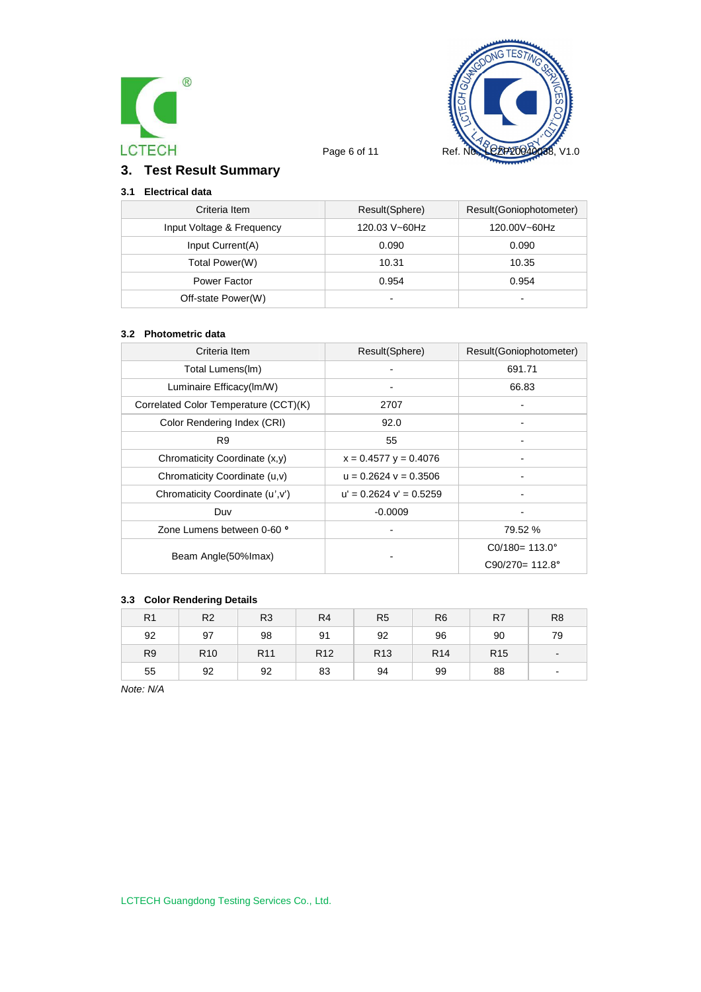



# **3. Test Result Summary**

# **3.1 Electrical data**

| Criteria Item             | Result(Sphere)           | Result(Goniophotometer)  |
|---------------------------|--------------------------|--------------------------|
| Input Voltage & Frequency | 120.03 V~60Hz            | 120.00V~60Hz             |
| Input Current(A)          | 0.090                    | 0.090                    |
| Total Power(W)            | 10.31                    | 10.35                    |
| Power Factor              | 0.954                    | 0.954                    |
| Off-state Power(W)        | $\overline{\phantom{0}}$ | $\overline{\phantom{0}}$ |

#### **3.2 Photometric data**

| Criteria Item                         | Result(Sphere)              | Result(Goniophotometer)   |
|---------------------------------------|-----------------------------|---------------------------|
| Total Lumens(Im)                      |                             | 691.71                    |
| Luminaire Efficacy(Im/W)              |                             | 66.83                     |
| Correlated Color Temperature (CCT)(K) | 2707                        |                           |
| Color Rendering Index (CRI)           | 92.0                        |                           |
| R <sub>9</sub>                        | 55                          |                           |
| Chromaticity Coordinate (x,y)         | $x = 0.4577$ y = 0.4076     |                           |
| Chromaticity Coordinate (u,v)         | $u = 0.2624$ $v = 0.3506$   |                           |
| Chromaticity Coordinate (u', v')      | $u' = 0.2624$ $v' = 0.5259$ |                           |
| Duv                                   | $-0.0009$                   |                           |
| Zone Lumens between 0-60 °            |                             | 79.52 %                   |
|                                       |                             | $CO/180 = 113.0^{\circ}$  |
| Beam Angle(50%lmax)                   |                             | $C90/270 = 112.8^{\circ}$ |

### **3.3 Color Rendering Details**

| R <sub>1</sub> | R <sub>2</sub>  | R <sub>3</sub>  | R <sub>4</sub>  | R <sub>5</sub>  | R <sub>6</sub>  | R <sub>7</sub>  | R <sub>8</sub> |
|----------------|-----------------|-----------------|-----------------|-----------------|-----------------|-----------------|----------------|
| 92             | 97              | 98              | 91              | 92              | 96              | 90              | 79             |
| R <sub>9</sub> | R <sub>10</sub> | R <sub>11</sub> | R <sub>12</sub> | R <sub>13</sub> | R <sub>14</sub> | R <sub>15</sub> | $\blacksquare$ |
| 55             | 92              | 92              | 83              | 94              | 99              | 88              | -              |

*Note: N/A*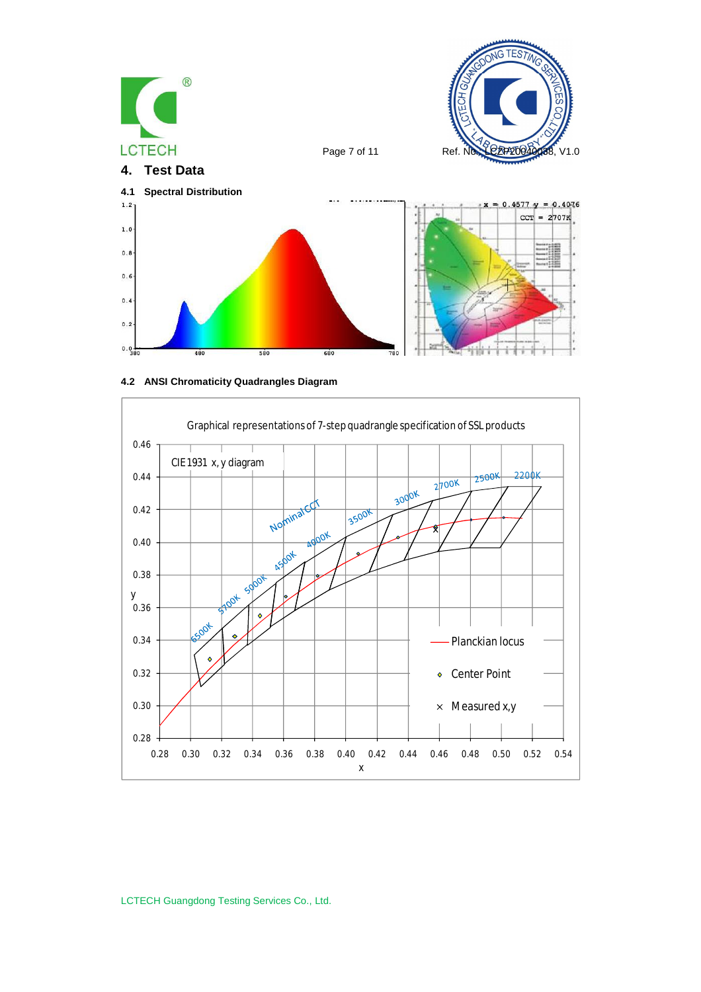





LCTECH Guangdong Testing Services Co., Ltd.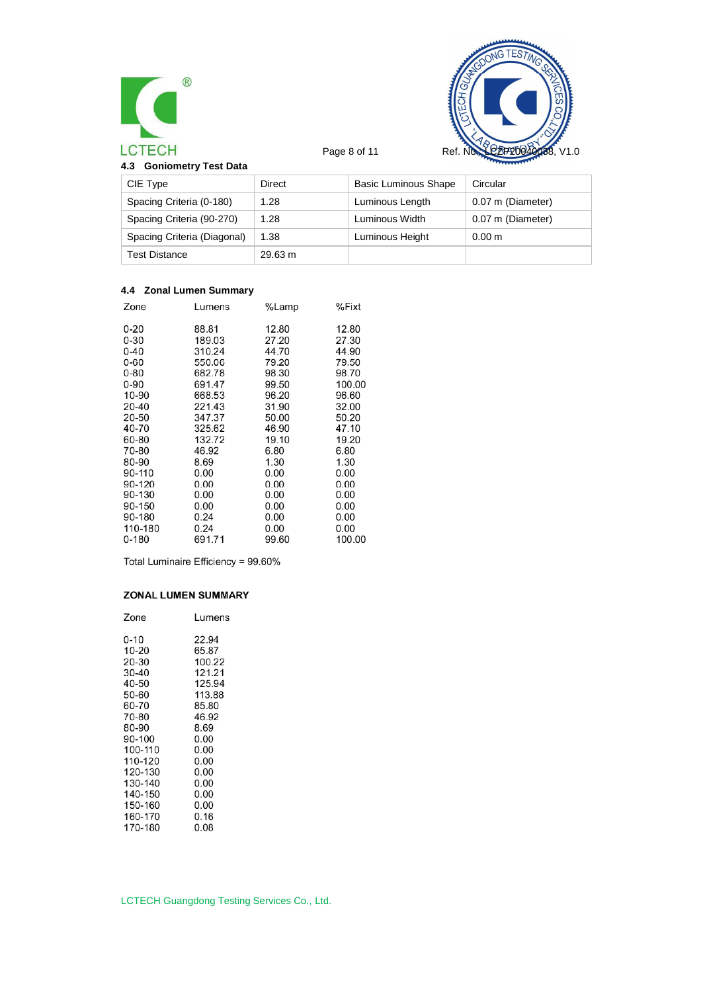



| 4.3 Goniometry Test Data |  |
|--------------------------|--|
|--------------------------|--|

| CIE Type                    | Direct  | <b>Basic Luminous Shape</b> | Circular          |
|-----------------------------|---------|-----------------------------|-------------------|
| Spacing Criteria (0-180)    | 1.28    | Luminous Length             | 0.07 m (Diameter) |
| Spacing Criteria (90-270)   | 1.28    | Luminous Width              | 0.07 m (Diameter) |
| Spacing Criteria (Diagonal) | 1.38    | Luminous Height             | 0.00 <sub>m</sub> |
| <b>Test Distance</b>        | 29.63 m |                             |                   |

## **4.4 Zonal Lumen Summary**

| Zone      | Lumens | %Lamp | %Fixt  |
|-----------|--------|-------|--------|
| $0 - 20$  | 88.81  | 12.80 | 12.80  |
| $0 - 30$  | 189.03 | 27.20 | 27.30  |
| $0 - 40$  | 310.24 | 44.70 | 44.90  |
| $0 - 60$  | 550.06 | 79.20 | 79.50  |
| $0 - 80$  | 682.78 | 98.30 | 98.70  |
| $0 - 90$  | 691.47 | 99.50 | 100.00 |
| 10-90     | 668.53 | 96.20 | 96.60  |
| 20-40     | 221.43 | 31.90 | 32.00  |
| 20-50     | 347.37 | 50.00 | 50.20  |
| 40-70     | 325.62 | 46.90 | 47.10  |
| 60-80     | 132.72 | 19.10 | 19.20  |
| 70-80     | 46.92  | 6.80  | 6.80   |
| 80-90     | 8.69   | 1.30  | 1.30   |
| 90-110    | 0.00   | 0.00  | 0.00   |
| 90-120    | 0.00   | 0.00  | 0.00   |
| 90-130    | 0.00   | 0.00  | 0.00   |
| 90-150    | 0.00   | 0.00  | 0.00   |
| 90-180    | 0.24   | 0.00  | 0.00   |
| 110-180   | 0.24   | 0.00  | 0.00   |
| $0 - 180$ | 691.71 | 99.60 | 100.00 |
|           |        |       |        |

Total Luminaire Efficiency = 99.60%

### **ZONAL LUMEN SUMMARY**

| Zone    | Lumens |
|---------|--------|
| 0-10    | 22.94  |
| 10-20   | 65.87  |
| 20-30   | 100.22 |
| 30-40   | 121.21 |
| 40-50   | 125.94 |
| 50-60   | 113.88 |
| 60-70   | 85.80  |
| 70-80   | 46.92  |
| 80-90   | 8.69   |
| 90-100  | 0.00   |
| 100-110 | 0.00   |
| 110-120 | 0.00   |
| 120-130 | 0.00   |
| 130-140 | 0.00   |
| 140-150 | 0.00   |
| 150-160 | 0.00   |
| 160-170 | 0.16   |
| 170-180 | 0.08   |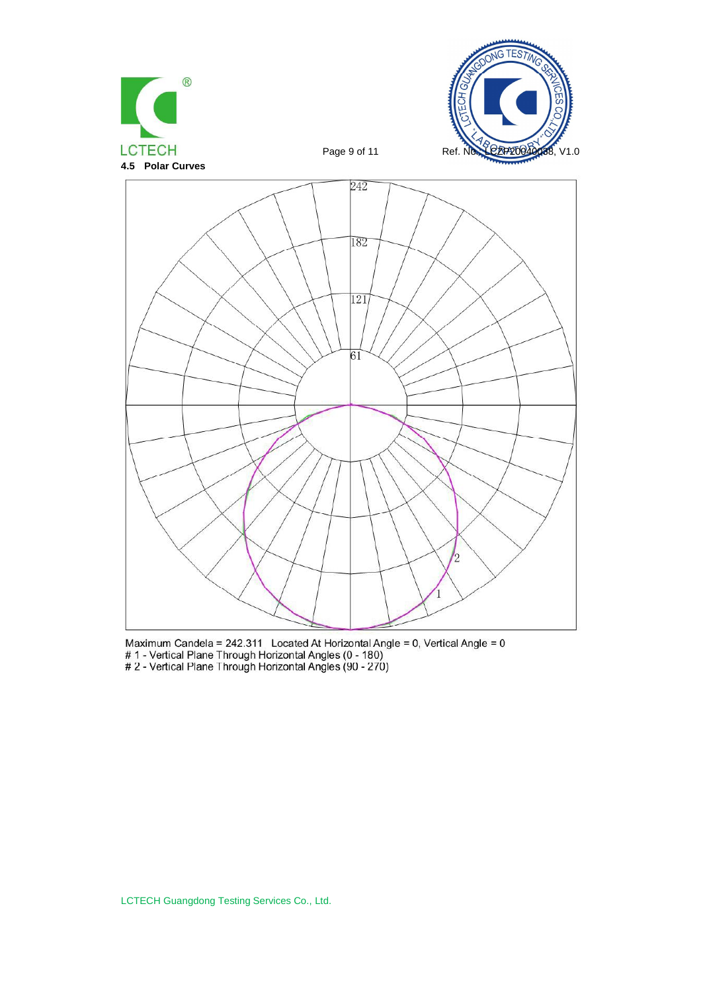





Maximum Candela = 242.311 Located At Horizontal Angle = 0, Vertical Angle = 0<br># 1 - Vertical Plane Through Horizontal Angles (0 - 180)<br># 2 - Vertical Plane Through Horizontal Angles (90 - 270)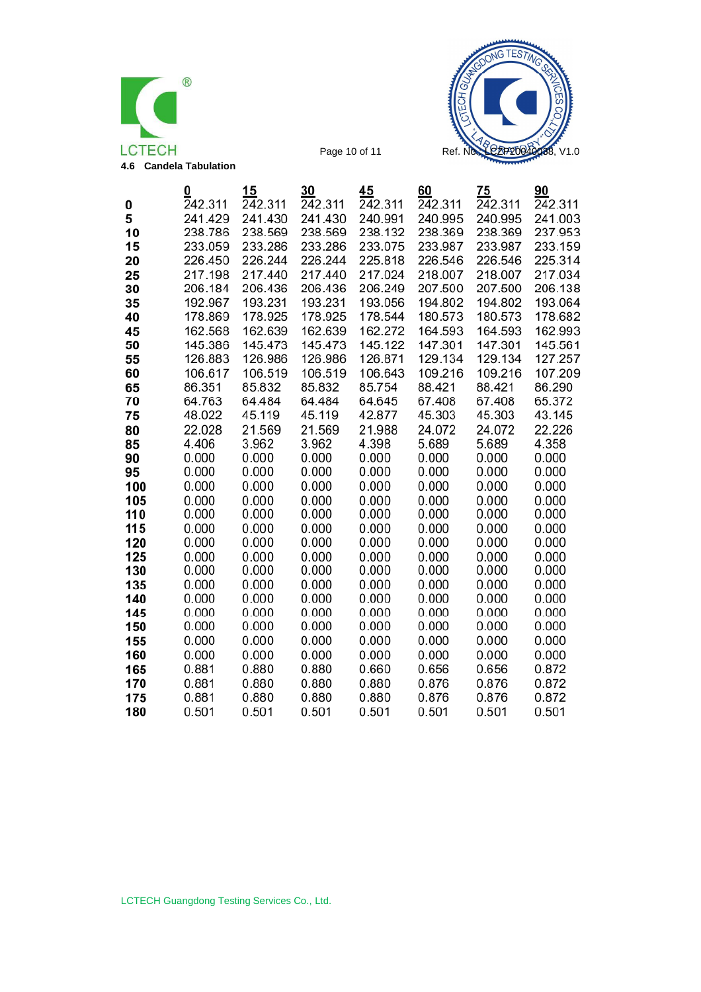



|          | 0                  | 15                 | 30                 | 45                 | 60                 | 75                 | 90                 |
|----------|--------------------|--------------------|--------------------|--------------------|--------------------|--------------------|--------------------|
| 0        | 242.311            | 242.311            | 242.311            | 242.311            | 242.311            | 242.311            | 242.311            |
| 5        | 241.429            | 241.430            | 241.430            | 240.991            | 240.995            | 240.995            | 241.003            |
| 10       | 238.786            | 238.569            | 238.569            | 238.132            | 238.369            | 238.369            | 237.953            |
| 15       | 233.059            | 233.286            | 233.286            | 233.075            | 233.987            | 233.987            | 233.159            |
| 20       | 226.450            | 226.244            | 226.244            | 225.818            | 226.546            | 226.546            | 225.314            |
| 25       | 217.198            | 217.440<br>206.436 | 217.440<br>206.436 | 217.024<br>206.249 | 218.007            | 218.007            | 217.034            |
| 30       | 206.184<br>192.967 | 193.231            | 193.231            | 193.056            | 207.500<br>194.802 | 207.500<br>194.802 | 206.138<br>193.064 |
| 35<br>40 | 178.869            | 178.925            | 178.925            | 178.544            | 180.573            | 180.573            | 178.682            |
|          | 162.568            | 162.639            | 162.639            | 162.272            | 164.593            | 164.593            | 162.993            |
| 45<br>50 | 145.386            | 145.473            | 145.473            | 145.122            | 147.301            | 147.301            | 145.561            |
| 55       | 126.883            | 126.986            | 126.986            | 126.871            | 129.134            | 129.134            | 127.257            |
| 60       | 106.617            | 106.519            | 106.519            | 106.643            | 109.216            | 109.216            | 107.209            |
| 65       | 86.351             | 85.832             | 85.832             | 85.754             | 88.421             | 88.421             | 86.290             |
| 70       | 64.763             | 64.484             | 64.484             | 64.645             | 67.408             | 67.408             | 65.372             |
| 75       | 48.022             | 45.119             | 45.119             | 42.877             | 45.303             | 45.303             | 43.145             |
| 80       | 22.028             | 21.569             | 21.569             | 21.988             | 24.072             | 24.072             | 22.226             |
| 85       | 4.406              | 3.962              | 3.962              | 4.398              | 5.689              | 5.689              | 4.358              |
| 90       | 0.000              | 0.000              | 0.000              | 0.000              | 0.000              | 0.000              | 0.000              |
| 95       | 0.000              | 0.000              | 0.000              | 0.000              | 0.000              | 0.000              | 0.000              |
| 100      | 0.000              | 0.000              | 0.000              | 0.000              | 0.000              | 0.000              | 0.000              |
| 105      | 0.000              | 0.000              | 0.000              | 0.000              | 0.000              | 0.000              | 0.000              |
| 110      | 0.000              | 0.000              | 0.000              | 0.000              | 0.000              | 0.000              | 0.000              |
| 115      | 0.000              | 0.000              | 0.000              | 0.000              | 0.000              | 0.000              | 0.000              |
| 120      | 0.000              | 0.000              | 0.000              | 0.000              | 0.000              | 0.000              | 0.000              |
| 125      | 0.000              | 0.000              | 0.000              | 0.000              | 0.000              | 0.000              | 0.000              |
| 130      | 0.000              | 0.000              | 0.000              | 0.000              | 0.000              | 0.000              | 0.000              |
| 135      | 0.000              | 0.000              | 0.000              | 0.000              | 0.000              | 0.000              | 0.000              |
| 140      | 0.000              | 0.000              | 0.000              | 0.000              | 0.000              | 0.000              | 0.000              |
| 145      | 0.000              | 0.000              | 0.000              | 0.000              | 0.000              | 0.000              | 0.000              |
| 150      | 0.000              | 0.000              | 0.000              | 0.000              | 0.000              | 0.000              | 0.000              |
| 155      | 0.000              | 0.000              | 0.000              | 0.000              | 0.000              | 0.000              | 0.000              |
| 160      | 0.000              | 0.000              | 0.000              | 0.000              | 0.000              | 0.000              | 0.000              |
| 165      | 0.881              | 0.880              | 0.880              | 0.660              | 0.656              | 0.656              | 0.872              |
| 170      | 0.881              | 0.880              | 0.880              | 0.880              | 0.876              | 0.876              | 0.872              |
| 175      | 0.881              | 0.880              | 0.880              | 0.880              | 0.876              | 0.876              | 0.872              |
| 180      | 0.501              | 0.501              | 0.501              | 0.501              | 0.501              | 0.501              | 0.501              |